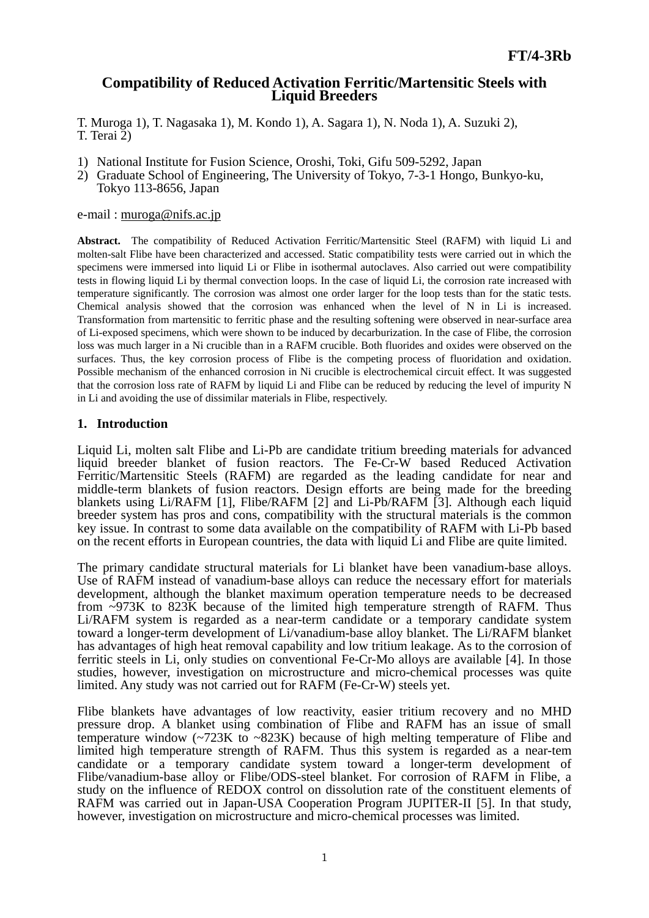# **Compatibility of Reduced Activation Ferritic/Martensitic Steels with Liquid Breeders**

T. Muroga 1), T. Nagasaka 1), M. Kondo 1), A. Sagara 1), N. Noda 1), A. Suzuki 2), T. Terai 2)

- 1) National Institute for Fusion Science, Oroshi, Toki, Gifu 509-5292, Japan
- 2) Graduate School of Engineering, The University of Tokyo, 7-3-1 Hongo, Bunkyo-ku, Tokyo 113-8656, Japan

#### e-mail : muroga@nifs.ac.jp

**Abstract.** The compatibility of Reduced Activation Ferritic/Martensitic Steel (RAFM) with liquid Li and molten-salt Flibe have been characterized and accessed. Static compatibility tests were carried out in which the specimens were immersed into liquid Li or Flibe in isothermal autoclaves. Also carried out were compatibility tests in flowing liquid Li by thermal convection loops. In the case of liquid Li, the corrosion rate increased with temperature significantly. The corrosion was almost one order larger for the loop tests than for the static tests. Chemical analysis showed that the corrosion was enhanced when the level of N in Li is increased. Transformation from martensitic to ferritic phase and the resulting softening were observed in near-surface area of Li-exposed specimens, which were shown to be induced by decarburization. In the case of Flibe, the corrosion loss was much larger in a Ni crucible than in a RAFM crucible. Both fluorides and oxides were observed on the surfaces. Thus, the key corrosion process of Flibe is the competing process of fluoridation and oxidation. Possible mechanism of the enhanced corrosion in Ni crucible is electrochemical circuit effect. It was suggested that the corrosion loss rate of RAFM by liquid Li and Flibe can be reduced by reducing the level of impurity N in Li and avoiding the use of dissimilar materials in Flibe, respectively.

## **1. Introduction**

Liquid Li, molten salt Flibe and Li-Pb are candidate tritium breeding materials for advanced liquid breeder blanket of fusion reactors. The Fe-Cr-W based Reduced Activation Ferritic/Martensitic Steels (RAFM) are regarded as the leading candidate for near and middle-term blankets of fusion reactors. Design efforts are being made for the breeding blankets using Li/RAFM [1], Flibe/RAFM [2] and Li-Pb/RAFM [3]. Although each liquid breeder system has pros and cons, compatibility with the structural materials is the common key issue. In contrast to some data available on the compatibility of RAFM with Li-Pb based on the recent efforts in European countries, the data with liquid Li and Flibe are quite limited.

The primary candidate structural materials for Li blanket have been vanadium-base alloys. Use of RAFM instead of vanadium-base alloys can reduce the necessary effort for materials development, although the blanket maximum operation temperature needs to be decreased from ~973K to 823K because of the limited high temperature strength of RAFM. Thus Li/RAFM system is regarded as a near-term candidate or a temporary candidate system toward a longer-term development of Li/vanadium-base alloy blanket. The Li/RAFM blanket has advantages of high heat removal capability and low tritium leakage. As to the corrosion of ferritic steels in Li, only studies on conventional Fe-Cr-Mo alloys are available [4]. In those studies, however, investigation on microstructure and micro-chemical processes was quite limited. Any study was not carried out for RAFM (Fe-Cr-W) steels yet.

Flibe blankets have advantages of low reactivity, easier tritium recovery and no MHD pressure drop. A blanket using combination of Flibe and RAFM has an issue of small temperature window (~723K to ~823K) because of high melting temperature of Flibe and limited high temperature strength of RAFM. Thus this system is regarded as a near-tem candidate or a temporary candidate system toward a longer-term development of Flibe/vanadium-base alloy or Flibe/ODS-steel blanket. For corrosion of RAFM in Flibe, a study on the influence of REDOX control on dissolution rate of the constituent elements of RAFM was carried out in Japan-USA Cooperation Program JUPITER-II [5]. In that study, however, investigation on microstructure and micro-chemical processes was limited.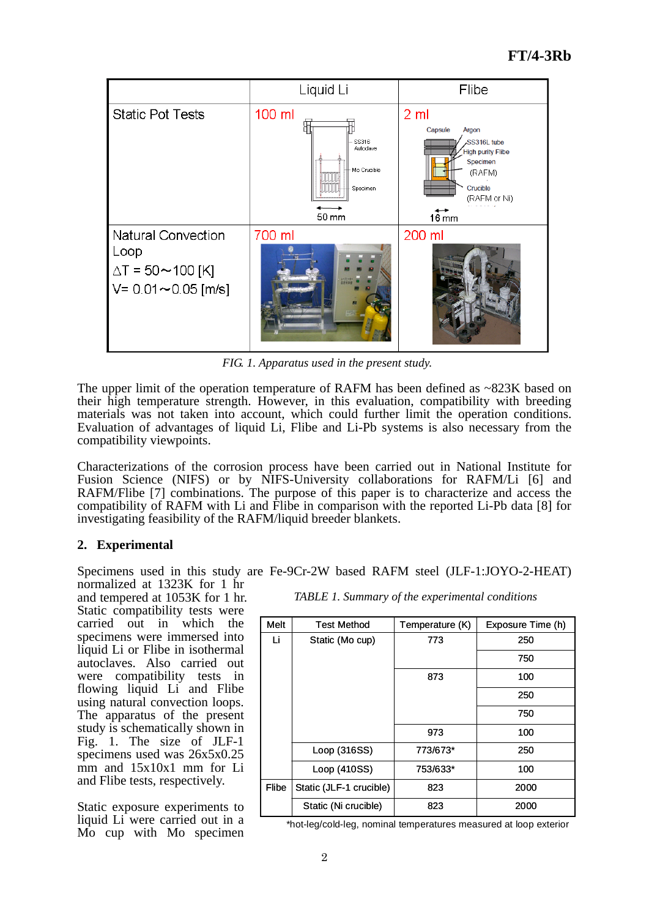

*FIG. 1. Apparatus used in the present study.*

The upper limit of the operation temperature of RAFM has been defined as ~823K based on their high temperature strength. However, in this evaluation, compatibility with breeding materials was not taken into account, which could further limit the operation conditions. Evaluation of advantages of liquid Li, Flibe and Li-Pb systems is also necessary from the compatibility viewpoints.

Characterizations of the corrosion process have been carried out in National Institute for Fusion Science (NIFS) or by NIFS-University collaborations for RAFM/Li [6] and RAFM/Flibe [7] combinations. The purpose of this paper is to characterize and access the compatibility of RAFM with Li and Flibe in comparison with the reported Li-Pb data [8] for investigating feasibility of the RAFM/liquid breeder blankets.

# **2. Experimental**

Specimens used in this study are Fe-9Cr-2W based RAFM steel (JLF-1:JOYO-2-HEAT) normalized at 1323K for 1 hr

and tempered at 1053K for 1 hr. Static compatibility tests were carried out in which the specimens were immersed into liquid Li or Flibe in isothermal autoclaves. Also carried out were compatibility tests in flowing liquid Li and Flibe using natural convection loops. The apparatus of the present study is schematically shown in Fig. 1. The size of JLF-1 specimens used was 26x5x0.25 mm and 15x10x1 mm for Li and Flibe tests, respectively.

Static exposure experiments to liquid Li were carried out in a Mo cup with Mo specimen *TABLE 1. Summary of the experimental conditions*

| Melt         | <b>Test Method</b>      | Temperature (K) | Exposure Time (h) |
|--------------|-------------------------|-----------------|-------------------|
| Li           | Static (Mo cup)         | 773             | 250               |
|              |                         |                 | 750               |
|              |                         | 873             | 100               |
|              |                         |                 | 250               |
|              |                         |                 | 750               |
|              |                         | 973             | 100               |
|              | Loop (316SS)            | 773/673*        | 250               |
|              | Loop (410SS)            | 753/633*        | 100               |
| <b>Flibe</b> | Static (JLF-1 crucible) | 823             | 2000              |
|              | Static (Ni crucible)    | 823             | 2000              |

\*hot-leg/cold-leg, nominal temperatures measured at loop exterior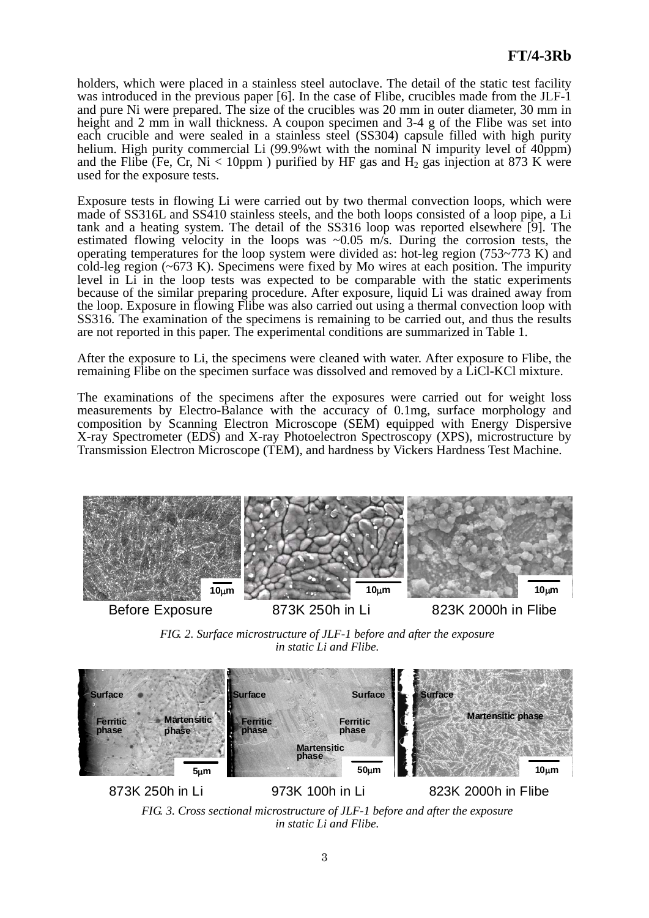holders, which were placed in a stainless steel autoclave. The detail of the static test facility was introduced in the previous paper [6]. In the case of Flibe, crucibles made from the JLF-1 and pure Ni were prepared. The size of the crucibles was 20 mm in outer diameter, 30 mm in height and 2 mm in wall thickness. A coupon specimen and 3-4 g of the Flibe was set into each crucible and were sealed in a stainless steel (SS304) capsule filled with high purity helium. High purity commercial Li (99.9% wt with the nominal N impurity level of 40ppm) and the Flibe (Fe, Cr, Ni  $\lt$  10ppm) purified by HF gas and H<sub>2</sub> gas injection at 873 K were used for the exposure tests.

Exposure tests in flowing Li were carried out by two thermal convection loops, which were made of SS316L and SS410 stainless steels, and the both loops consisted of a loop pipe, a Li tank and a heating system. The detail of the SS316 loop was reported elsewhere [9]. The estimated flowing velocity in the loops was  $\sim 0.05$  m/s. During the corrosion tests, the operating temperatures for the loop system were divided as: hot-leg region (753~773 K) and cold-leg region (~673 K). Specimens were fixed by Mo wires at each position. The impurity level in Li in the loop tests was expected to be comparable with the static experiments because of the similar preparing procedure. After exposure, liquid Li was drained away from the loop. Exposure in flowing Flibe was also carried out using a thermal convection loop with SS316. The examination of the specimens is remaining to be carried out, and thus the results are not reported in this paper. The experimental conditions are summarized in Table 1.

After the exposure to Li, the specimens were cleaned with water. After exposure to Flibe, the remaining Flibe on the specimen surface was dissolved and removed by a LiCl-KCl mixture.

The examinations of the specimens after the exposures were carried out for weight loss measurements by Electro-Balance with the accuracy of 0.1mg, surface morphology and composition by Scanning Electron Microscope (SEM) equipped with Energy Dispersive X-ray Spectrometer (EDS) and X-ray Photoelectron Spectroscopy (XPS), microstructure by Transmission Electron Microscope (TEM), and hardness by Vickers Hardness Test Machine.



*FIG. 2. Surface microstructure of JLF-1 before and after the exposure in static Li and Flibe.*



*FIG. 3. Cross sectional microstructure of JLF-1 before and after the exposure in static Li and Flibe.*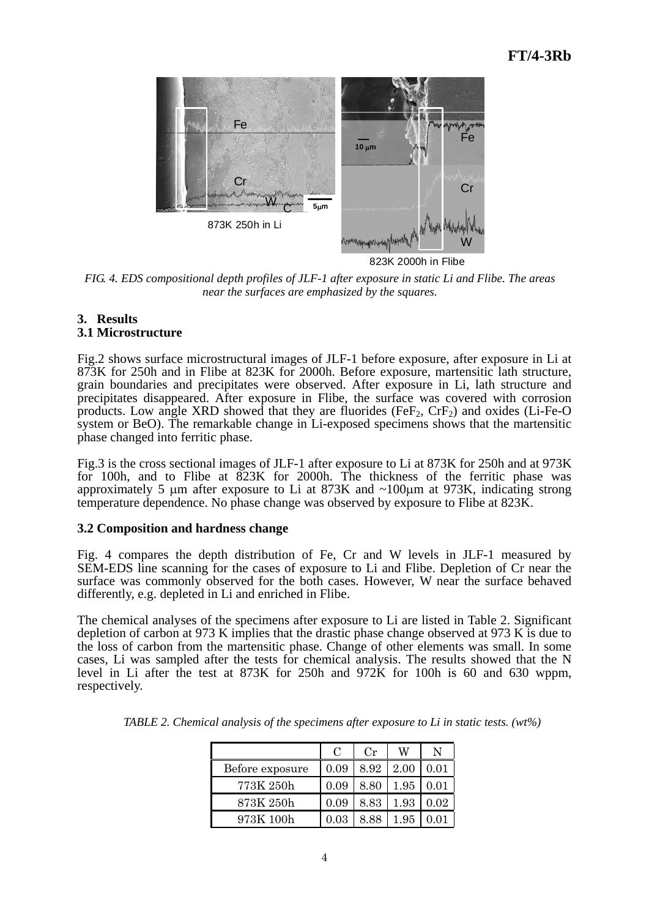

823K 2000h in Flibe

*FIG. 4. EDS compositional depth profiles of JLF-1 after exposure in static Li and Flibe. The areas near the surfaces are emphasized by the squares.* 

#### **3. Results 3.1 Microstructure**

Fig.2 shows surface microstructural images of JLF-1 before exposure, after exposure in Li at 873K for 250h and in Flibe at 823K for 2000h. Before exposure, martensitic lath structure, grain boundaries and precipitates were observed. After exposure in Li, lath structure and precipitates disappeared. After exposure in Flibe, the surface was covered with corrosion products. Low angle XRD showed that they are fluorides (FeF<sub>2</sub>,  $CrF_2$ ) and oxides (Li-Fe-O system or BeO). The remarkable change in Li-exposed specimens shows that the martensitic phase changed into ferritic phase.

Fig.3 is the cross sectional images of JLF-1 after exposure to Li at 873K for 250h and at 973K for 100h, and to Flibe at 823K for 2000h. The thickness of the ferritic phase was approximately 5  $\mu$ m after exposure to Li at 873K and ~100 $\mu$ m at 973K, indicating strong temperature dependence. No phase change was observed by exposure to Flibe at 823K.

# **3.2 Composition and hardness change**

Fig. 4 compares the depth distribution of Fe, Cr and W levels in JLF-1 measured by SEM-EDS line scanning for the cases of exposure to Li and Flibe. Depletion of Cr near the surface was commonly observed for the both cases. However, W near the surface behaved differently, e.g. depleted in Li and enriched in Flibe.

The chemical analyses of the specimens after exposure to Li are listed in Table 2. Significant depletion of carbon at 973 K implies that the drastic phase change observed at 973 K is due to the loss of carbon from the martensitic phase. Change of other elements was small. In some cases, Li was sampled after the tests for chemical analysis. The results showed that the N level in Li after the test at 873K for 250h and 972K for 100h is 60 and 630 wppm, respectively.

|                 | $\mathcal{C}_{\mathcal{C}}$ | Cr   | W    | N    |
|-----------------|-----------------------------|------|------|------|
| Before exposure | 0.09                        | 8.92 | 2.00 | 0.01 |
| 773K 250h       | 0.09                        | 8.80 | 1.95 | 0.01 |
| 873K 250h       | 0.09                        | 8.83 | 1.93 | 0.02 |
| 973K 100h       | 0.03                        | 8 88 | 1.95 |      |

*TABLE 2. Chemical analysis of the specimens after exposure to Li in static tests. (wt%)*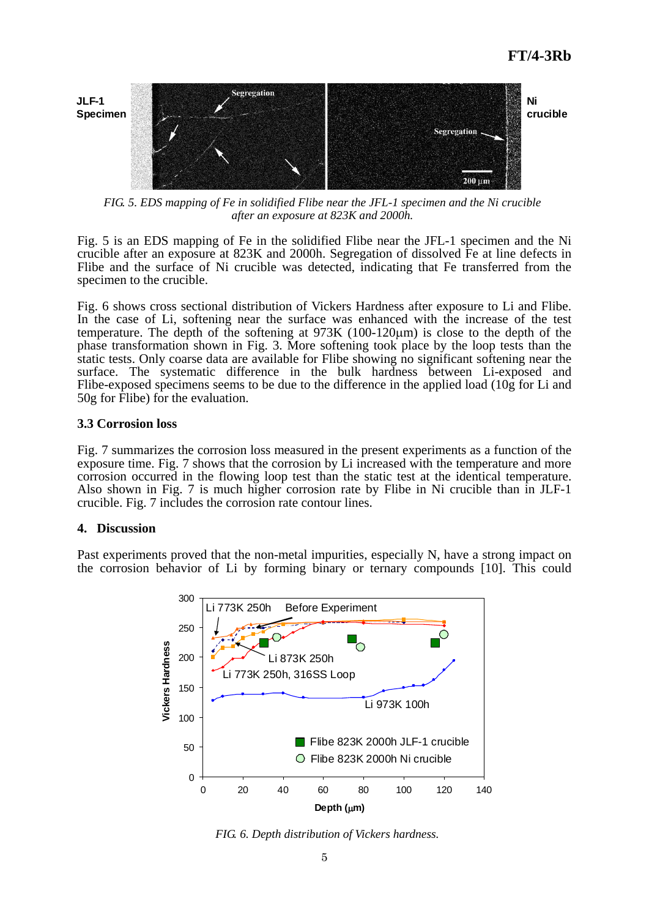

*FIG. 5. EDS mapping of Fe in solidified Flibe near the JFL-1 specimen and the Ni crucible after an exposure at 823K and 2000h.* 

Fig. 5 is an EDS mapping of Fe in the solidified Flibe near the JFL-1 specimen and the Ni crucible after an exposure at 823K and 2000h. Segregation of dissolved Fe at line defects in Flibe and the surface of Ni crucible was detected, indicating that Fe transferred from the specimen to the crucible.

Fig. 6 shows cross sectional distribution of Vickers Hardness after exposure to Li and Flibe. In the case of Li, softening near the surface was enhanced with the increase of the test temperature. The depth of the softening at  $973K (100-120 \mu m)$  is close to the depth of the phase transformation shown in Fig. 3. More softening took place by the loop tests than the static tests. Only coarse data are available for Flibe showing no significant softening near the surface. The systematic difference in the bulk hardness between Li-exposed and Flibe-exposed specimens seems to be due to the difference in the applied load (10g for Li and 50g for Flibe) for the evaluation.

## **3.3 Corrosion loss**

Fig. 7 summarizes the corrosion loss measured in the present experiments as a function of the exposure time. Fig. 7 shows that the corrosion by Li increased with the temperature and more corrosion occurred in the flowing loop test than the static test at the identical temperature. Also shown in Fig. 7 is much higher corrosion rate by Flibe in Ni crucible than in JLF-1 crucible. Fig. 7 includes the corrosion rate contour lines.

# **4. Discussion**

Past experiments proved that the non-metal impurities, especially N, have a strong impact on the corrosion behavior of Li by forming binary or ternary compounds [10]. This could



*FIG. 6. Depth distribution of Vickers hardness.*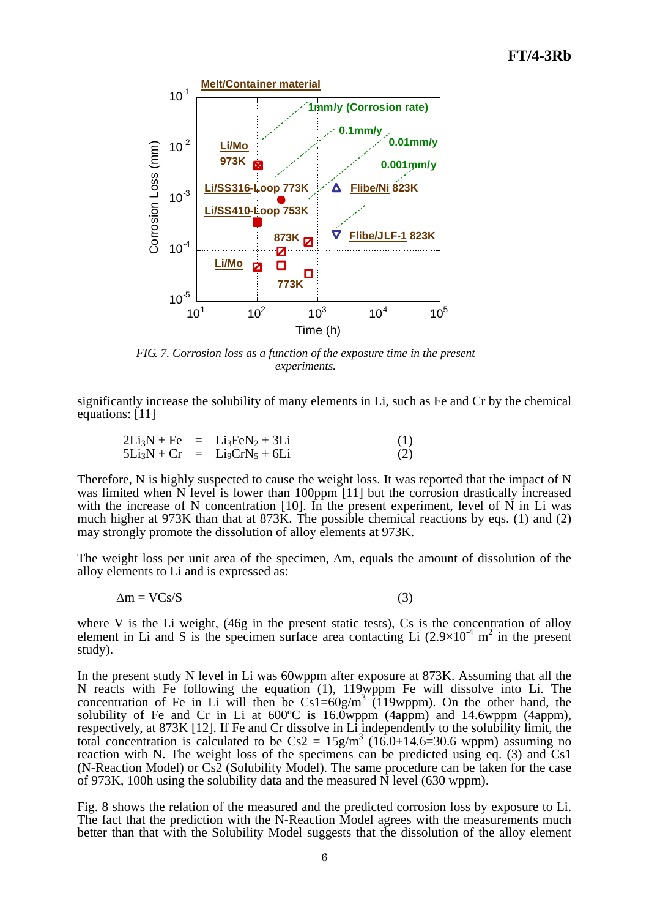

*FIG. 7. Corrosion loss as a function of the exposure time in the present experiments.*

significantly increase the solubility of many elements in Li, such as Fe and Cr by the chemical equations: [11]

|  | $2Li_3N + Fe$ = $Li_3FeN_2 + 3Li$ | (1) |
|--|-----------------------------------|-----|
|  | $5Li_3N + Cr = Li_9CrN_5 + 6Li$   | (2) |

Therefore, N is highly suspected to cause the weight loss. It was reported that the impact of N was limited when N level is lower than 100ppm [11] but the corrosion drastically increased with the increase of N concentration [10]. In the present experiment, level of  $\overline{N}$  in Li was much higher at 973K than that at 873K. The possible chemical reactions by eqs. (1) and (2) may strongly promote the dissolution of alloy elements at 973K.

The weight loss per unit area of the specimen,  $\Delta m$ , equals the amount of dissolution of the alloy elements to Li and is expressed as:

$$
\Delta m = VCs/S \tag{3}
$$

where V is the Li weight, (46g in the present static tests), Cs is the concentration of alloy element in Li and S is the specimen surface area contacting Li  $(2.9 \times 10^{-4} \text{ m}^2)$  in the present study).

In the present study N level in Li was 60wppm after exposure at 873K. Assuming that all the N reacts with Fe following the equation (1), 119wppm Fe will dissolve into Li. The concentration of Fe in Li will then be  $Cs1=60g/m^3$  (119wppm). On the other hand, the solubility of Fe and Cr in Li at  $600^{\circ}$ C is  $16.0$ wppm  $(4appm)$  and  $14.6$ wppm  $(4appm)$ , respectively, at 873K [12]. If Fe and Cr dissolve in Li independently to the solubility limit, the total concentration is calculated to be  $Cs2 = 15g/m^3$  (16.0+14.6=30.6 wppm) assuming no reaction with N. The weight loss of the specimens can be predicted using eq. (3) and Cs1 (N-Reaction Model) or Cs2 (Solubility Model). The same procedure can be taken for the case of 973K, 100h using the solubility data and the measured N level (630 wppm).

Fig. 8 shows the relation of the measured and the predicted corrosion loss by exposure to Li. The fact that the prediction with the N-Reaction Model agrees with the measurements much better than that with the Solubility Model suggests that the dissolution of the alloy element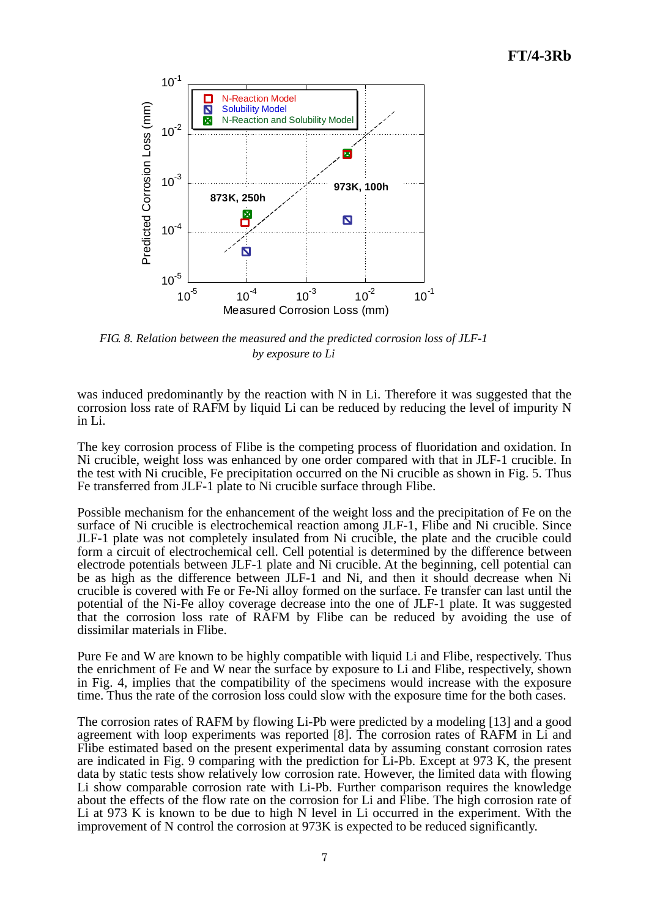

*FIG. 8. Relation between the measured and the predicted corrosion loss of JLF-1 by exposure to Li*

was induced predominantly by the reaction with N in Li. Therefore it was suggested that the corrosion loss rate of RAFM by liquid Li can be reduced by reducing the level of impurity N in Li.

The key corrosion process of Flibe is the competing process of fluoridation and oxidation. In Ni crucible, weight loss was enhanced by one order compared with that in JLF-1 crucible. In the test with Ni crucible, Fe precipitation occurred on the Ni crucible as shown in Fig. 5. Thus Fe transferred from JLF-1 plate to Ni crucible surface through Flibe.

Possible mechanism for the enhancement of the weight loss and the precipitation of Fe on the surface of Ni crucible is electrochemical reaction among JLF-1, Flibe and Ni crucible. Since JLF-1 plate was not completely insulated from Ni crucible, the plate and the crucible could form a circuit of electrochemical cell. Cell potential is determined by the difference between electrode potentials between JLF-1 plate and Ni crucible. At the beginning, cell potential can be as high as the difference between JLF-1 and Ni, and then it should decrease when Ni crucible is covered with Fe or Fe-Ni alloy formed on the surface. Fe transfer can last until the potential of the Ni-Fe alloy coverage decrease into the one of JLF-1 plate. It was suggested that the corrosion loss rate of RAFM by Flibe can be reduced by avoiding the use of dissimilar materials in Flibe.

Pure Fe and W are known to be highly compatible with liquid Li and Flibe, respectively. Thus the enrichment of Fe and W near the surface by exposure to Li and Flibe, respectively, shown in Fig. 4, implies that the compatibility of the specimens would increase with the exposure time. Thus the rate of the corrosion loss could slow with the exposure time for the both cases.

The corrosion rates of RAFM by flowing Li-Pb were predicted by a modeling [13] and a good agreement with loop experiments was reported [8]. The corrosion rates of RAFM in Li and Flibe estimated based on the present experimental data by assuming constant corrosion rates are indicated in Fig. 9 comparing with the prediction for Li-Pb. Except at 973 K, the present data by static tests show relatively low corrosion rate. However, the limited data with flowing Li show comparable corrosion rate with Li-Pb. Further comparison requires the knowledge about the effects of the flow rate on the corrosion for Li and Flibe. The high corrosion rate of Li at 973 K is known to be due to high N level in Li occurred in the experiment. With the improvement of N control the corrosion at 973K is expected to be reduced significantly.